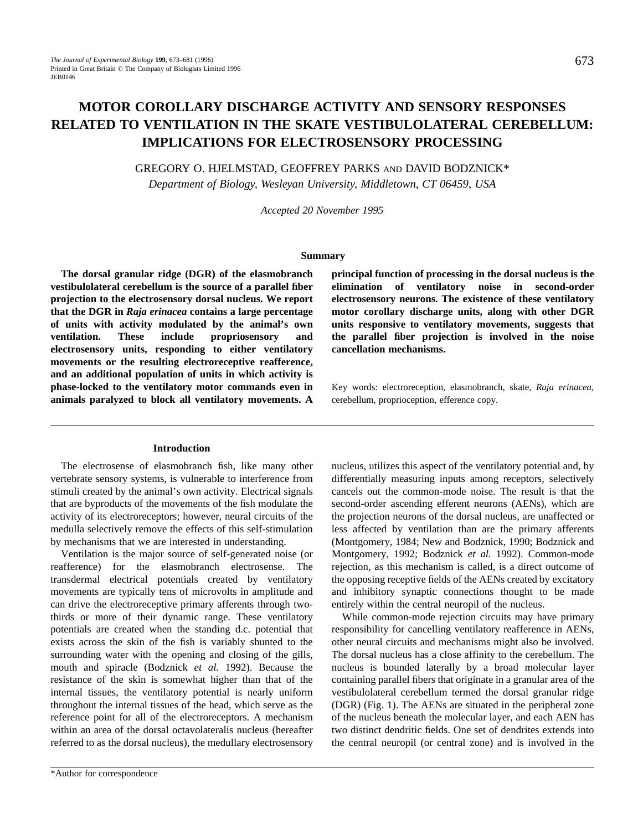# **MOTOR COROLLARY DISCHARGE ACTIVITY AND SENSORY RESPONSES RELATED TO VENTILATION IN THE SKATE VESTIBULOLATERAL CEREBELLUM: IMPLICATIONS FOR ELECTROSENSORY PROCESSING**

GREGORY O. HJELMSTAD, GEOFFREY PARKS AND DAVID BODZNICK\*

*Department of Biology, Wesleyan University, Middletown, CT 06459, USA*

*Accepted 20 November 1995*

# **Summary**

**The dorsal granular ridge (DGR) of the elasmobranch vestibulolateral cerebellum is the source of a parallel fiber projection to the electrosensory dorsal nucleus. We report that the DGR in** *Raja erinacea* **contains a large percentage of units with activity modulated by the animal's own ventilation. These include propriosensory and electrosensory units, responding to either ventilatory movements or the resulting electroreceptive reafference, and an additional population of units in which activity is phase-locked to the ventilatory motor commands even in animals paralyzed to block all ventilatory movements. A**

**principal function of processing in the dorsal nucleus is the elimination of ventilatory noise in second-order electrosensory neurons. The existence of these ventilatory motor corollary discharge units, along with other DGR units responsive to ventilatory movements, suggests that the parallel fiber projection is involved in the noise cancellation mechanisms.**

Key words: electroreception, elasmobranch, skate, *Raja erinacea*, cerebellum, proprioception, efference copy.

# **Introduction**

The electrosense of elasmobranch fish, like many other vertebrate sensory systems, is vulnerable to interference from stimuli created by the animal's own activity. Electrical signals that are byproducts of the movements of the fish modulate the activity of its electroreceptors; however, neural circuits of the medulla selectively remove the effects of this self-stimulation by mechanisms that we are interested in understanding.

Ventilation is the major source of self-generated noise (or reafference) for the elasmobranch electrosense. The transdermal electrical potentials created by ventilatory movements are typically tens of microvolts in amplitude and can drive the electroreceptive primary afferents through twothirds or more of their dynamic range. These ventilatory potentials are created when the standing d.c. potential that exists across the skin of the fish is variably shunted to the surrounding water with the opening and closing of the gills, mouth and spiracle (Bodznick *et al.* 1992). Because the resistance of the skin is somewhat higher than that of the internal tissues, the ventilatory potential is nearly uniform throughout the internal tissues of the head, which serve as the reference point for all of the electroreceptors. A mechanism within an area of the dorsal octavolateralis nucleus (hereafter referred to as the dorsal nucleus), the medullary electrosensory

nucleus, utilizes this aspect of the ventilatory potential and, by differentially measuring inputs among receptors, selectively cancels out the common-mode noise. The result is that the second-order ascending efferent neurons (AENs), which are the projection neurons of the dorsal nucleus, are unaffected or less affected by ventilation than are the primary afferents (Montgomery, 1984; New and Bodznick, 1990; Bodznick and Montgomery, 1992; Bodznick *et al.* 1992). Common-mode rejection, as this mechanism is called, is a direct outcome of the opposing receptive fields of the AENs created by excitatory and inhibitory synaptic connections thought to be made entirely within the central neuropil of the nucleus.

While common-mode rejection circuits may have primary responsibility for cancelling ventilatory reafference in AENs, other neural circuits and mechanisms might also be involved. The dorsal nucleus has a close affinity to the cerebellum. The nucleus is bounded laterally by a broad molecular layer containing parallel fibers that originate in a granular area of the vestibulolateral cerebellum termed the dorsal granular ridge (DGR) (Fig. 1). The AENs are situated in the peripheral zone of the nucleus beneath the molecular layer, and each AEN has two distinct dendritic fields. One set of dendrites extends into the central neuropil (or central zone) and is involved in the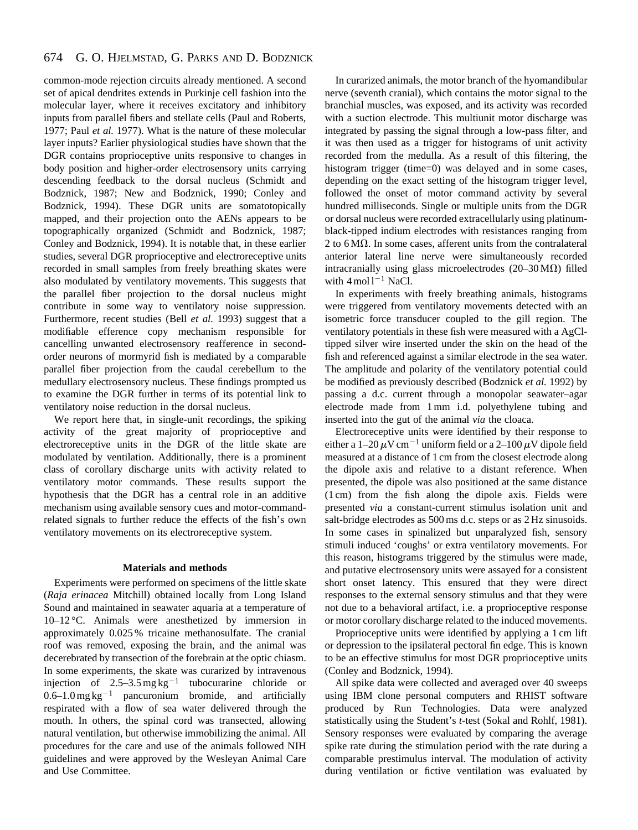#### 674 G. O. HJELMSTAD, G. PARKS AND D. BODZNICK

common-mode rejection circuits already mentioned. A second set of apical dendrites extends in Purkinje cell fashion into the molecular layer, where it receives excitatory and inhibitory inputs from parallel fibers and stellate cells (Paul and Roberts, 1977; Paul *et al.* 1977). What is the nature of these molecular layer inputs? Earlier physiological studies have shown that the DGR contains proprioceptive units responsive to changes in body position and higher-order electrosensory units carrying descending feedback to the dorsal nucleus (Schmidt and Bodznick, 1987; New and Bodznick, 1990; Conley and Bodznick, 1994). These DGR units are somatotopically mapped, and their projection onto the AENs appears to be topographically organized (Schmidt and Bodznick, 1987; Conley and Bodznick, 1994). It is notable that, in these earlier studies, several DGR proprioceptive and electroreceptive units recorded in small samples from freely breathing skates were also modulated by ventilatory movements. This suggests that the parallel fiber projection to the dorsal nucleus might contribute in some way to ventilatory noise suppression. Furthermore, recent studies (Bell *et al.* 1993) suggest that a modifiable efference copy mechanism responsible for cancelling unwanted electrosensory reafference in secondorder neurons of mormyrid fish is mediated by a comparable parallel fiber projection from the caudal cerebellum to the medullary electrosensory nucleus. These findings prompted us to examine the DGR further in terms of its potential link to ventilatory noise reduction in the dorsal nucleus.

We report here that, in single-unit recordings, the spiking activity of the great majority of proprioceptive and electroreceptive units in the DGR of the little skate are modulated by ventilation. Additionally, there is a prominent class of corollary discharge units with activity related to ventilatory motor commands. These results support the hypothesis that the DGR has a central role in an additive mechanism using available sensory cues and motor-commandrelated signals to further reduce the effects of the fish's own ventilatory movements on its electroreceptive system.

### **Materials and methods**

Experiments were performed on specimens of the little skate (*Raja erinacea* Mitchill) obtained locally from Long Island Sound and maintained in seawater aquaria at a temperature of 10–12 °C. Animals were anesthetized by immersion in approximately 0.025 % tricaine methanosulfate. The cranial roof was removed, exposing the brain, and the animal was decerebrated by transection of the forebrain at the optic chiasm. In some experiments, the skate was curarized by intravenous injection of  $2.5-3.5 \text{ mg kg}^{-1}$  tubocurarine chloride or  $0.6-1.0$  mg kg<sup>-1</sup> pancuronium bromide, and artificially respirated with a flow of sea water delivered through the mouth. In others, the spinal cord was transected, allowing natural ventilation, but otherwise immobilizing the animal. All procedures for the care and use of the animals followed NIH guidelines and were approved by the Wesleyan Animal Care and Use Committee.

In curarized animals, the motor branch of the hyomandibular nerve (seventh cranial), which contains the motor signal to the branchial muscles, was exposed, and its activity was recorded with a suction electrode. This multiunit motor discharge was integrated by passing the signal through a low-pass filter, and it was then used as a trigger for histograms of unit activity recorded from the medulla. As a result of this filtering, the histogram trigger (time=0) was delayed and in some cases, depending on the exact setting of the histogram trigger level, followed the onset of motor command activity by several hundred milliseconds. Single or multiple units from the DGR or dorsal nucleus were recorded extracellularly using platinumblack-tipped indium electrodes with resistances ranging from 2 to  $6 \text{M}\Omega$ . In some cases, afferent units from the contralateral anterior lateral line nerve were simultaneously recorded intracranially using glass microelectrodes (20–30 M $\Omega$ ) filled with  $4 \text{ mol} 1^{-1}$  NaCl.

In experiments with freely breathing animals, histograms were triggered from ventilatory movements detected with an isometric force transducer coupled to the gill region. The ventilatory potentials in these fish were measured with a AgCltipped silver wire inserted under the skin on the head of the fish and referenced against a similar electrode in the sea water. The amplitude and polarity of the ventilatory potential could be modified as previously described (Bodznick *et al.* 1992) by passing a d.c. current through a monopolar seawater–agar electrode made from 1 mm i.d. polyethylene tubing and inserted into the gut of the animal *via* the cloaca.

Electroreceptive units were identified by their response to either a 1–20  $\mu$ V cm<sup>-1</sup> uniform field or a 2–100  $\mu$ V dipole field measured at a distance of 1 cm from the closest electrode along the dipole axis and relative to a distant reference. When presented, the dipole was also positioned at the same distance (1 cm) from the fish along the dipole axis. Fields were presented *via* a constant-current stimulus isolation unit and salt-bridge electrodes as 500 ms d.c. steps or as 2 Hz sinusoids. In some cases in spinalized but unparalyzed fish, sensory stimuli induced 'coughs' or extra ventilatory movements. For this reason, histograms triggered by the stimulus were made, and putative electrosensory units were assayed for a consistent short onset latency. This ensured that they were direct responses to the external sensory stimulus and that they were not due to a behavioral artifact, i.e. a proprioceptive response or motor corollary discharge related to the induced movements.

Proprioceptive units were identified by applying a 1 cm lift or depression to the ipsilateral pectoral fin edge. This is known to be an effective stimulus for most DGR proprioceptive units (Conley and Bodznick, 1994).

All spike data were collected and averaged over 40 sweeps using IBM clone personal computers and RHIST software produced by Run Technologies. Data were analyzed statistically using the Student's *t*-test (Sokal and Rohlf, 1981). Sensory responses were evaluated by comparing the average spike rate during the stimulation period with the rate during a comparable prestimulus interval. The modulation of activity during ventilation or fictive ventilation was evaluated by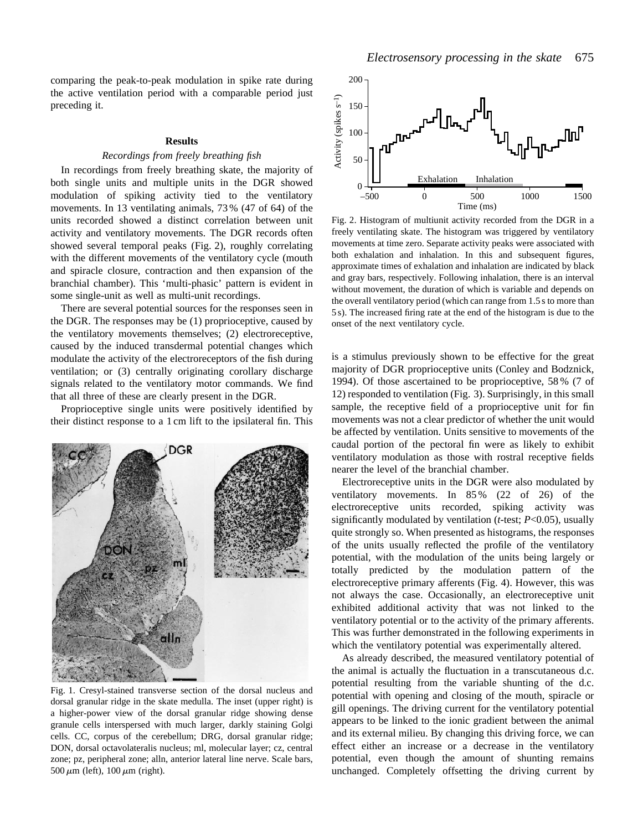comparing the peak-to-peak modulation in spike rate during the active ventilation period with a comparable period just preceding it.

## **Results**

# *Recordings from freely breathing fish*

In recordings from freely breathing skate, the majority of both single units and multiple units in the DGR showed modulation of spiking activity tied to the ventilatory movements. In 13 ventilating animals, 73 % (47 of 64) of the units recorded showed a distinct correlation between unit activity and ventilatory movements. The DGR records often showed several temporal peaks (Fig. 2), roughly correlating with the different movements of the ventilatory cycle (mouth and spiracle closure, contraction and then expansion of the branchial chamber). This 'multi-phasic' pattern is evident in some single-unit as well as multi-unit recordings.

There are several potential sources for the responses seen in the DGR. The responses may be (1) proprioceptive, caused by the ventilatory movements themselves; (2) electroreceptive, caused by the induced transdermal potential changes which modulate the activity of the electroreceptors of the fish during ventilation; or (3) centrally originating corollary discharge signals related to the ventilatory motor commands. We find that all three of these are clearly present in the DGR.

Proprioceptive single units were positively identified by their distinct response to a 1 cm lift to the ipsilateral fin. This



Fig. 1. Cresyl-stained transverse section of the dorsal nucleus and dorsal granular ridge in the skate medulla. The inset (upper right) is a higher-power view of the dorsal granular ridge showing dense granule cells interspersed with much larger, darkly staining Golgi cells. CC, corpus of the cerebellum; DRG, dorsal granular ridge; DON, dorsal octavolateralis nucleus; ml, molecular layer; cz, central zone; pz, peripheral zone; alln, anterior lateral line nerve. Scale bars,  $500 \mu m$  (left),  $100 \mu m$  (right).



Fig. 2. Histogram of multiunit activity recorded from the DGR in a freely ventilating skate. The histogram was triggered by ventilatory movements at time zero. Separate activity peaks were associated with both exhalation and inhalation. In this and subsequent figures, approximate times of exhalation and inhalation are indicated by black and gray bars, respectively. Following inhalation, there is an interval without movement, the duration of which is variable and depends on the overall ventilatory period (which can range from 1.5 s to more than 5 s). The increased firing rate at the end of the histogram is due to the onset of the next ventilatory cycle.

is a stimulus previously shown to be effective for the great majority of DGR proprioceptive units (Conley and Bodznick, 1994). Of those ascertained to be proprioceptive, 58 % (7 of 12) responded to ventilation (Fig. 3). Surprisingly, in this small sample, the receptive field of a proprioceptive unit for fin movements was not a clear predictor of whether the unit would be affected by ventilation. Units sensitive to movements of the caudal portion of the pectoral fin were as likely to exhibit ventilatory modulation as those with rostral receptive fields nearer the level of the branchial chamber.

Electroreceptive units in the DGR were also modulated by ventilatory movements. In 85 % (22 of 26) of the electroreceptive units recorded, spiking activity was significantly modulated by ventilation (*t*-test; *P*<0.05), usually quite strongly so. When presented as histograms, the responses of the units usually reflected the profile of the ventilatory potential, with the modulation of the units being largely or totally predicted by the modulation pattern of the electroreceptive primary afferents (Fig. 4). However, this was not always the case. Occasionally, an electroreceptive unit exhibited additional activity that was not linked to the ventilatory potential or to the activity of the primary afferents. This was further demonstrated in the following experiments in which the ventilatory potential was experimentally altered.

As already described, the measured ventilatory potential of the animal is actually the fluctuation in a transcutaneous d.c. potential resulting from the variable shunting of the d.c. potential with opening and closing of the mouth, spiracle or gill openings. The driving current for the ventilatory potential appears to be linked to the ionic gradient between the animal and its external milieu. By changing this driving force, we can effect either an increase or a decrease in the ventilatory potential, even though the amount of shunting remains unchanged. Completely offsetting the driving current by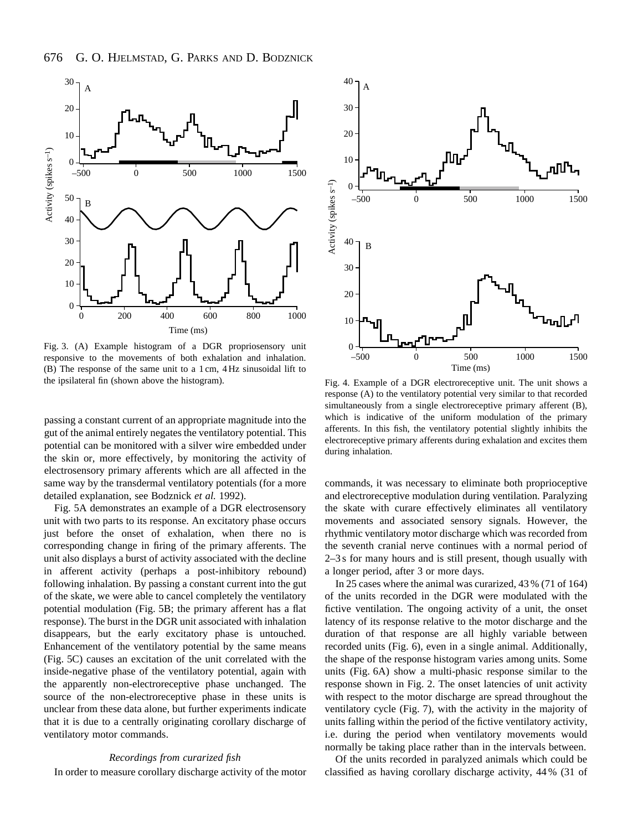

Fig. 3. (A) Example histogram of a DGR propriosensory unit responsive to the movements of both exhalation and inhalation. (B) The response of the same unit to a 1 cm, 4 Hz sinusoidal lift to the ipsilateral fin (shown above the histogram).

passing a constant current of an appropriate magnitude into the gut of the animal entirely negates the ventilatory potential. This potential can be monitored with a silver wire embedded under the skin or, more effectively, by monitoring the activity of electrosensory primary afferents which are all affected in the same way by the transdermal ventilatory potentials (for a more detailed explanation, see Bodznick *et al.* 1992).

Fig. 5A demonstrates an example of a DGR electrosensory unit with two parts to its response. An excitatory phase occurs just before the onset of exhalation, when there no is corresponding change in firing of the primary afferents. The unit also displays a burst of activity associated with the decline in afferent activity (perhaps a post-inhibitory rebound) following inhalation. By passing a constant current into the gut of the skate, we were able to cancel completely the ventilatory potential modulation (Fig. 5B; the primary afferent has a flat response). The burst in the DGR unit associated with inhalation disappears, but the early excitatory phase is untouched. Enhancement of the ventilatory potential by the same means (Fig. 5C) causes an excitation of the unit correlated with the inside-negative phase of the ventilatory potential, again with the apparently non-electroreceptive phase unchanged. The source of the non-electroreceptive phase in these units is unclear from these data alone, but further experiments indicate that it is due to a centrally originating corollary discharge of ventilatory motor commands.

#### *Recordings from curarized fish*

In order to measure corollary discharge activity of the motor



Fig. 4. Example of a DGR electroreceptive unit. The unit shows a response (A) to the ventilatory potential very similar to that recorded simultaneously from a single electroreceptive primary afferent (B), which is indicative of the uniform modulation of the primary afferents. In this fish, the ventilatory potential slightly inhibits the electroreceptive primary afferents during exhalation and excites them during inhalation.

commands, it was necessary to eliminate both proprioceptive and electroreceptive modulation during ventilation. Paralyzing the skate with curare effectively eliminates all ventilatory movements and associated sensory signals. However, the rhythmic ventilatory motor discharge which was recorded from the seventh cranial nerve continues with a normal period of 2–3 s for many hours and is still present, though usually with a longer period, after 3 or more days.

In 25 cases where the animal was curarized, 43 % (71 of 164) of the units recorded in the DGR were modulated with the fictive ventilation. The ongoing activity of a unit, the onset latency of its response relative to the motor discharge and the duration of that response are all highly variable between recorded units (Fig. 6), even in a single animal. Additionally, the shape of the response histogram varies among units. Some units (Fig. 6A) show a multi-phasic response similar to the response shown in Fig. 2. The onset latencies of unit activity with respect to the motor discharge are spread throughout the ventilatory cycle (Fig. 7), with the activity in the majority of units falling within the period of the fictive ventilatory activity, i.e. during the period when ventilatory movements would normally be taking place rather than in the intervals between.

Of the units recorded in paralyzed animals which could be classified as having corollary discharge activity, 44 % (31 of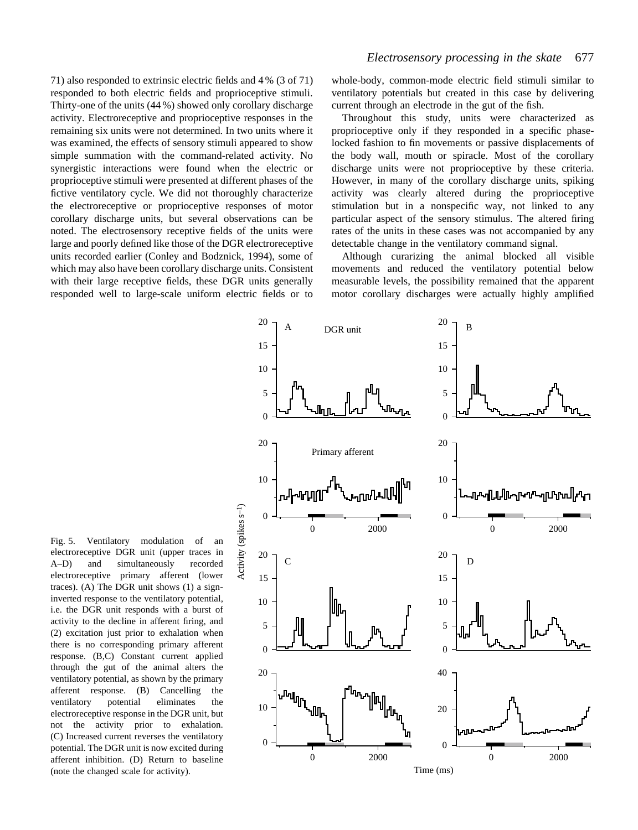71) also responded to extrinsic electric fields and 4 % (3 of 71) responded to both electric fields and proprioceptive stimuli. Thirty-one of the units (44 %) showed only corollary discharge activity. Electroreceptive and proprioceptive responses in the remaining six units were not determined. In two units where it was examined, the effects of sensory stimuli appeared to show simple summation with the command-related activity. No synergistic interactions were found when the electric or proprioceptive stimuli were presented at different phases of the fictive ventilatory cycle. We did not thoroughly characterize the electroreceptive or proprioceptive responses of motor corollary discharge units, but several observations can be noted. The electrosensory receptive fields of the units were large and poorly defined like those of the DGR electroreceptive units recorded earlier (Conley and Bodznick, 1994), some of which may also have been corollary discharge units. Consistent with their large receptive fields, these DGR units generally responded well to large-scale uniform electric fields or to

whole-body, common-mode electric field stimuli similar to ventilatory potentials but created in this case by delivering current through an electrode in the gut of the fish.

Throughout this study, units were characterized as proprioceptive only if they responded in a specific phaselocked fashion to fin movements or passive displacements of the body wall, mouth or spiracle. Most of the corollary discharge units were not proprioceptive by these criteria. However, in many of the corollary discharge units, spiking activity was clearly altered during the proprioceptive stimulation but in a nonspecific way, not linked to any particular aspect of the sensory stimulus. The altered firing rates of the units in these cases was not accompanied by any detectable change in the ventilatory command signal.

Although curarizing the animal blocked all visible movements and reduced the ventilatory potential below measurable levels, the possibility remained that the apparent motor corollary discharges were actually highly amplified



Fig. 5. Ventilatory modulation of an electroreceptive DGR unit (upper traces in A–D) and simultaneously recorded electroreceptive primary afferent (lower traces). (A) The DGR unit shows (1) a signinverted response to the ventilatory potential, i.e. the DGR unit responds with a burst of activity to the decline in afferent firing, and (2) excitation just prior to exhalation when there is no corresponding primary afferent response. (B,C) Constant current applied through the gut of the animal alters the ventilatory potential, as shown by the primary afferent response. (B) Cancelling the ventilatory potential eliminates the electroreceptive response in the DGR unit, but not the activity prior to exhalation. (C) Increased current reverses the ventilatory potential. The DGR unit is now excited during afferent inhibition. (D) Return to baseline (note the changed scale for activity).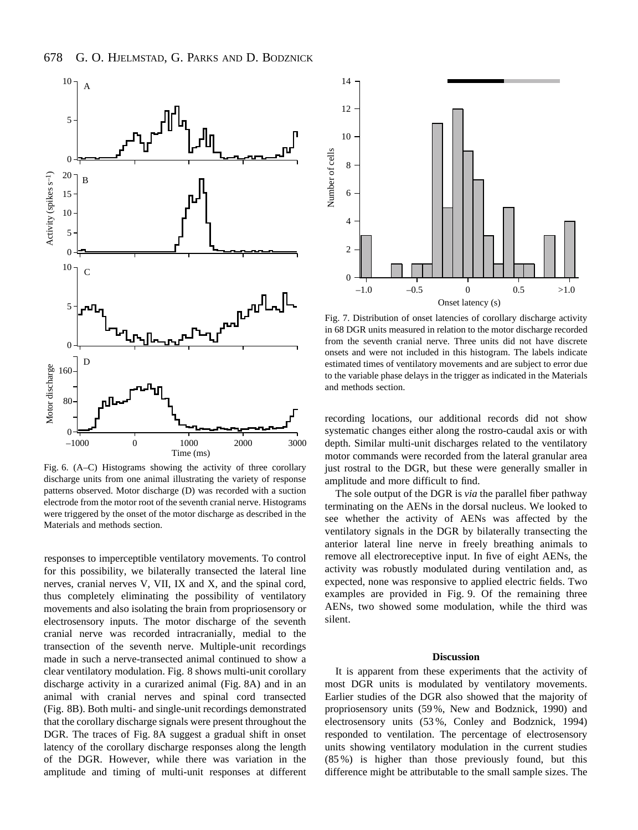

Fig. 6. (A–C) Histograms showing the activity of three corollary discharge units from one animal illustrating the variety of response patterns observed. Motor discharge (D) was recorded with a suction electrode from the motor root of the seventh cranial nerve. Histograms were triggered by the onset of the motor discharge as described in the Materials and methods section.

responses to imperceptible ventilatory movements. To control for this possibility, we bilaterally transected the lateral line nerves, cranial nerves V, VII, IX and X, and the spinal cord, thus completely eliminating the possibility of ventilatory movements and also isolating the brain from propriosensory or electrosensory inputs. The motor discharge of the seventh cranial nerve was recorded intracranially, medial to the transection of the seventh nerve. Multiple-unit recordings made in such a nerve-transected animal continued to show a clear ventilatory modulation. Fig. 8 shows multi-unit corollary discharge activity in a curarized animal (Fig. 8A) and in an animal with cranial nerves and spinal cord transected (Fig. 8B). Both multi- and single-unit recordings demonstrated that the corollary discharge signals were present throughout the DGR. The traces of Fig. 8A suggest a gradual shift in onset latency of the corollary discharge responses along the length of the DGR. However, while there was variation in the amplitude and timing of multi-unit responses at different



Fig. 7. Distribution of onset latencies of corollary discharge activity in 68 DGR units measured in relation to the motor discharge recorded from the seventh cranial nerve. Three units did not have discrete onsets and were not included in this histogram. The labels indicate estimated times of ventilatory movements and are subject to error due to the variable phase delays in the trigger as indicated in the Materials and methods section.

recording locations, our additional records did not show systematic changes either along the rostro-caudal axis or with depth. Similar multi-unit discharges related to the ventilatory motor commands were recorded from the lateral granular area just rostral to the DGR, but these were generally smaller in amplitude and more difficult to find.

The sole output of the DGR is *via* the parallel fiber pathway terminating on the AENs in the dorsal nucleus. We looked to see whether the activity of AENs was affected by the ventilatory signals in the DGR by bilaterally transecting the anterior lateral line nerve in freely breathing animals to remove all electroreceptive input. In five of eight AENs, the activity was robustly modulated during ventilation and, as expected, none was responsive to applied electric fields. Two examples are provided in Fig. 9. Of the remaining three AENs, two showed some modulation, while the third was silent.

#### **Discussion**

It is apparent from these experiments that the activity of most DGR units is modulated by ventilatory movements. Earlier studies of the DGR also showed that the majority of propriosensory units (59 %, New and Bodznick, 1990) and electrosensory units (53 %, Conley and Bodznick, 1994) responded to ventilation. The percentage of electrosensory units showing ventilatory modulation in the current studies (85 %) is higher than those previously found, but this difference might be attributable to the small sample sizes. The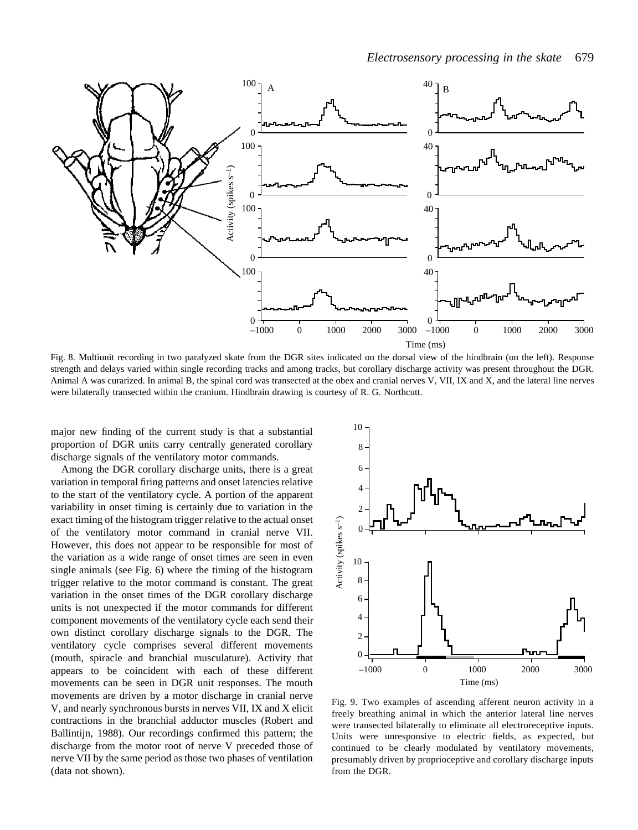

Fig. 8. Multiunit recording in two paralyzed skate from the DGR sites indicated on the dorsal view of the hindbrain (on the left). Response strength and delays varied within single recording tracks and among tracks, but corollary discharge activity was present throughout the DGR. Animal A was curarized. In animal B, the spinal cord was transected at the obex and cranial nerves V, VII, IX and X, and the lateral line nerves were bilaterally transected within the cranium. Hindbrain drawing is courtesy of R. G. Northcutt.

major new finding of the current study is that a substantial proportion of DGR units carry centrally generated corollary discharge signals of the ventilatory motor commands.

Among the DGR corollary discharge units, there is a great variation in temporal firing patterns and onset latencies relative to the start of the ventilatory cycle. A portion of the apparent variability in onset timing is certainly due to variation in the exact timing of the histogram trigger relative to the actual onset of the ventilatory motor command in cranial nerve VII. However, this does not appear to be responsible for most of the variation as a wide range of onset times are seen in even single animals (see Fig. 6) where the timing of the histogram trigger relative to the motor command is constant. The great variation in the onset times of the DGR corollary discharge units is not unexpected if the motor commands for different component movements of the ventilatory cycle each send their own distinct corollary discharge signals to the DGR. The ventilatory cycle comprises several different movements (mouth, spiracle and branchial musculature). Activity that appears to be coincident with each of these different movements can be seen in DGR unit responses. The mouth movements are driven by a motor discharge in cranial nerve V, and nearly synchronous bursts in nerves VII, IX and X elicit contractions in the branchial adductor muscles (Robert and Ballintijn, 1988). Our recordings confirmed this pattern; the discharge from the motor root of nerve V preceded those of nerve VII by the same period as those two phases of ventilation (data not shown).



Fig. 9. Two examples of ascending afferent neuron activity in a freely breathing animal in which the anterior lateral line nerves were transected bilaterally to eliminate all electroreceptive inputs. Units were unresponsive to electric fields, as expected, but continued to be clearly modulated by ventilatory movements, presumably driven by proprioceptive and corollary discharge inputs from the DGR.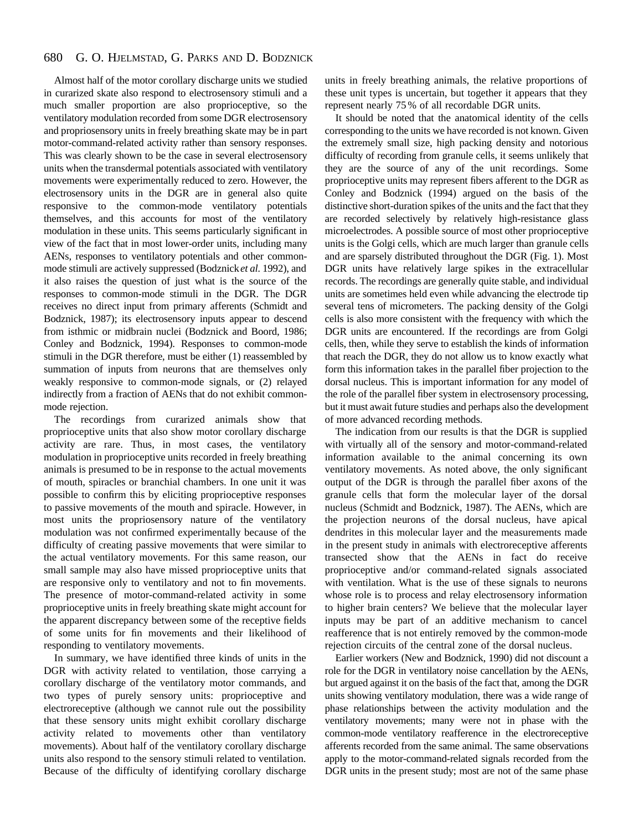#### 680 G. O. HJELMSTAD, G. PARKS AND D. BODZNICK

Almost half of the motor corollary discharge units we studied in curarized skate also respond to electrosensory stimuli and a much smaller proportion are also proprioceptive, so the ventilatory modulation recorded from some DGR electrosensory and propriosensory units in freely breathing skate may be in part motor-command-related activity rather than sensory responses. This was clearly shown to be the case in several electrosensory units when the transdermal potentials associated with ventilatory movements were experimentally reduced to zero. However, the electrosensory units in the DGR are in general also quite responsive to the common-mode ventilatory potentials themselves, and this accounts for most of the ventilatory modulation in these units. This seems particularly significant in view of the fact that in most lower-order units, including many AENs, responses to ventilatory potentials and other commonmode stimuli are actively suppressed (Bodznick *et al.* 1992), and it also raises the question of just what is the source of the responses to common-mode stimuli in the DGR. The DGR receives no direct input from primary afferents (Schmidt and Bodznick, 1987); its electrosensory inputs appear to descend from isthmic or midbrain nuclei (Bodznick and Boord, 1986; Conley and Bodznick, 1994). Responses to common-mode stimuli in the DGR therefore, must be either (1) reassembled by summation of inputs from neurons that are themselves only weakly responsive to common-mode signals, or (2) relayed indirectly from a fraction of AENs that do not exhibit commonmode rejection.

The recordings from curarized animals show that proprioceptive units that also show motor corollary discharge activity are rare. Thus, in most cases, the ventilatory modulation in proprioceptive units recorded in freely breathing animals is presumed to be in response to the actual movements of mouth, spiracles or branchial chambers. In one unit it was possible to confirm this by eliciting proprioceptive responses to passive movements of the mouth and spiracle. However, in most units the propriosensory nature of the ventilatory modulation was not confirmed experimentally because of the difficulty of creating passive movements that were similar to the actual ventilatory movements. For this same reason, our small sample may also have missed proprioceptive units that are responsive only to ventilatory and not to fin movements. The presence of motor-command-related activity in some proprioceptive units in freely breathing skate might account for the apparent discrepancy between some of the receptive fields of some units for fin movements and their likelihood of responding to ventilatory movements.

In summary, we have identified three kinds of units in the DGR with activity related to ventilation, those carrying a corollary discharge of the ventilatory motor commands, and two types of purely sensory units: proprioceptive and electroreceptive (although we cannot rule out the possibility that these sensory units might exhibit corollary discharge activity related to movements other than ventilatory movements). About half of the ventilatory corollary discharge units also respond to the sensory stimuli related to ventilation. Because of the difficulty of identifying corollary discharge

units in freely breathing animals, the relative proportions of these unit types is uncertain, but together it appears that they represent nearly 75 % of all recordable DGR units.

It should be noted that the anatomical identity of the cells corresponding to the units we have recorded is not known. Given the extremely small size, high packing density and notorious difficulty of recording from granule cells, it seems unlikely that they are the source of any of the unit recordings. Some proprioceptive units may represent fibers afferent to the DGR as Conley and Bodznick (1994) argued on the basis of the distinctive short-duration spikes of the units and the fact that they are recorded selectively by relatively high-resistance glass microelectrodes. A possible source of most other proprioceptive units is the Golgi cells, which are much larger than granule cells and are sparsely distributed throughout the DGR (Fig. 1). Most DGR units have relatively large spikes in the extracellular records. The recordings are generally quite stable, and individual units are sometimes held even while advancing the electrode tip several tens of micrometers. The packing density of the Golgi cells is also more consistent with the frequency with which the DGR units are encountered. If the recordings are from Golgi cells, then, while they serve to establish the kinds of information that reach the DGR, they do not allow us to know exactly what form this information takes in the parallel fiber projection to the dorsal nucleus. This is important information for any model of the role of the parallel fiber system in electrosensory processing, but it must await future studies and perhaps also the development of more advanced recording methods.

The indication from our results is that the DGR is supplied with virtually all of the sensory and motor-command-related information available to the animal concerning its own ventilatory movements. As noted above, the only significant output of the DGR is through the parallel fiber axons of the granule cells that form the molecular layer of the dorsal nucleus (Schmidt and Bodznick, 1987). The AENs, which are the projection neurons of the dorsal nucleus, have apical dendrites in this molecular layer and the measurements made in the present study in animals with electroreceptive afferents transected show that the AENs in fact do receive proprioceptive and/or command-related signals associated with ventilation. What is the use of these signals to neurons whose role is to process and relay electrosensory information to higher brain centers? We believe that the molecular layer inputs may be part of an additive mechanism to cancel reafference that is not entirely removed by the common-mode rejection circuits of the central zone of the dorsal nucleus.

Earlier workers (New and Bodznick, 1990) did not discount a role for the DGR in ventilatory noise cancellation by the AENs, but argued against it on the basis of the fact that, among the DGR units showing ventilatory modulation, there was a wide range of phase relationships between the activity modulation and the ventilatory movements; many were not in phase with the common-mode ventilatory reafference in the electroreceptive afferents recorded from the same animal. The same observations apply to the motor-command-related signals recorded from the DGR units in the present study; most are not of the same phase